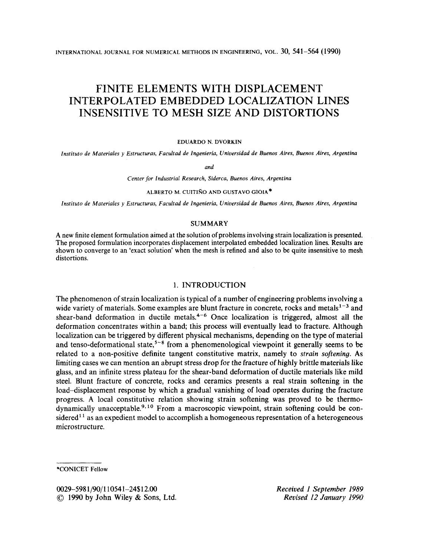INTERNATIONAL JOURNAL **FOR** NUMERICAL METHODS IN ENGINEERING, VOL. 30,541-564 (1990)

# FINITE ELEMENTS WITH DISPLACEMENT INTERPOLATED EMBEDDED LOCALIZATION LINES INSENSITIVE TO MESH SIZE AND DISTORTIONS

#### EDUARDO N. DVORKIN

*Insiituto de Materiales y Estructuras, Facultad de Ingenieria, Universidad de Buenos Aires, Buenos Aires, Argentina* 

*and* 

*Center for Industrial Research, Siderca, Buenos Aires, Argentina* 

#### ALBERTO M. CUITIRO AND GUSTAVO GIOIA\*

*Insiituto de Materiales y Estructuras, Facultad de Ingenieria, Universidad de Buenos Aires, Buenos Aires, Argentina* 

#### SUMMARY

**A** new finite element formulation aimed at the solution of problems involving strain localization is presented. The proposed formulation incorporates displacement interpolated embedded localization lines. Results are shown to converge to an 'exact solution' when the mesh is refined and also to be quite insensitive to mesh distortions.

### 1. INTRODUCTION

The phenomenon of strain localization is typical of a number of engineering problems involving a wide variety of materials. Some examples are blunt fracture in concrete, rocks and metals<sup>1-3</sup> and shear-band deformation in ductile metals.<sup> $4-6$ </sup> Once localization is triggered, almost all the deformation concentrates within a band; this process will eventually lead to fracture. Although localization can be triggered by different physical mechanisms, depending on the type of material and tenso-deformational state,<sup>5-8</sup> from a phenomenological viewpoint it generally seems to be related to a non-positive definite tangent constitutive matrix, namely to *sfrain softening.* **As**  limiting cases we can mention an abrupt stress drop for the fracture of highly brittle materials like glass, and an infinite stress plateau for the shear-band deformation of ductile materials like mild steel. Blunt fracture of concrete, rocks and ceramics presents a real strain softening in the load-displacement response by which a gradual vanishing of load operates during the fracture progress. **A** local constitutive relation showing strain softening was proved to be thermodynamically unacceptable.<sup>9, 10</sup> From a macroscopic viewpoint, strain softening could be considered<sup>11</sup> as an expedient model to accomplish a homogeneous representation of a heterogeneous microstructure.

**\*CONICET Fellow** 

0029-598 1/90/110541-24\$12.00 *0* 1990 by John Wiley & Sons, Ltd. *Received 1 September 1989 Revised 12 January 1990*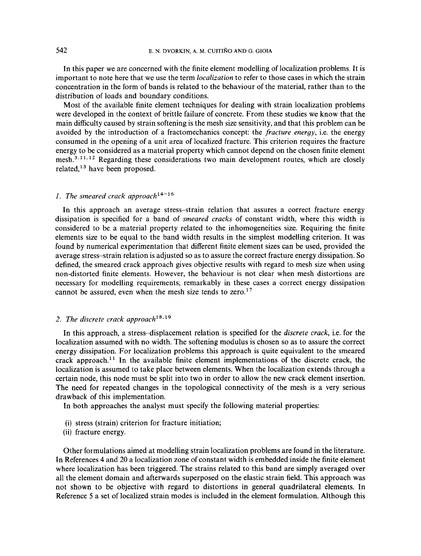In this paper we are concerned with the finite element modelling of localization problems. It is important to note here that we use the term *localization* to refer to those cases in which the strain concentration in the form of bands is related to the behaviour of the material, rather than to the distribution of loads and boundary conditions.

Most of the available finite element techniques for dealing with strain localization problems were developed in the context of brittle failure of concrete. From these studies we know that the main difficulty caused by strain softening is the mesh size sensitivity, and that this problem can be avoided by the introduction of a fractomechanics concept: the *fracture energy,* i.e. the energy consumed in the opening of a unit area of localized fracture. This criterion requires the fracture energy to be considered as a material property which cannot depend on the chosen finite element mesh.<sup>3, 11, 12</sup> Regarding these considerations two main development routes, which are closely related, $13$  have been proposed.

## *1, The smeared crack*

In this approach an average stress-strain relation that assures a correct fracture energy dissipation is specified for a band of *smeared cracks* of constant width, where this width is considered to be a material property related to the inhomogeneities size. Requiring the finite elements size to be equal to the band width results in the simplest modelling criterion. It was found by numerical experimentation that different finite element sizes can be used, provided the average stress-strain relation is adjusted so as to assure the correct fracture energy dissipation. **So**  defined, the smeared crack approach gives objective results with regard to mesh size when using non-distorted finite elements. However, the behaviour is not clear when mesh distortions are necessary for modelling requirements; remarkably in these cases a correct energy dissipation cannot be assured, even when the mesh size tends to zero.<sup>17</sup>

### *2. The discrete crack*

In this approach, a stress-displacement relation is specified for the *discrete crack,* i.e. for the localization assumed with no width. The softening modulus is chosen so as to assure the correct energy dissipation. For localization problems this approach is quite equivalent to the smeared crack approach.<sup>11</sup> In the available finite element implementations of the discrete crack, the localization is assumed to take place between elements. When the localization extends through **a**  certain node, this node must be split into two in order to allow the new crack element insertion. The need for repeated changes in the topological connectivity of the mesh is a very serious drawback of this implementation.

In both approaches the analyst must specify the following material properties:

- (i) stress (strain) criterion for fracture initiation;
- (ii) fracture energy.

Other formulations aimed at modelling strain localization problems are found in the literature. In References **4** and 20 a localization zone of constant width is embedded inside the finite element where localization has been triggered. The strains related to this band are simply averaged over all the element domain and afterwards superposed on the elastic strain field. This approach was not shown *to* be objective with regard to distortions in general quadrilateral elements. In Reference *5* a set of localized strain modes is included in the element formulation. Although this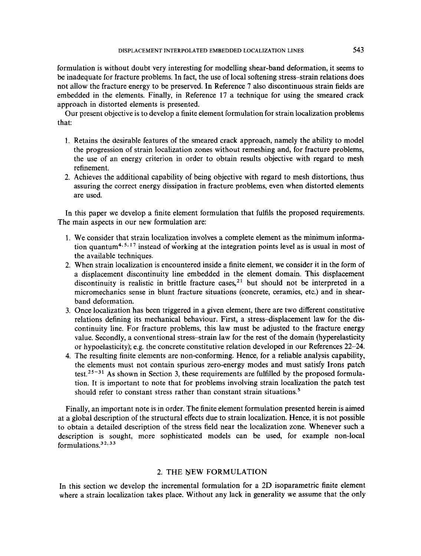formulation is without doubt very interesting for modelling shear-band deformation, it seems to be inadequate for fracture problems. In fact, the use of local softening stress-strain relations does not allow the fracture energy to be preserved. In Reference **7** also discontinuous strain fields are embedded in the elements. Finally, in Reference 17 a technique for using the smeared crack approach in distorted elements is presented.

Our present objective is to develop a finite element formulation for strain localization problems that:

- 1. Retains the desirable features of the smeared crack approach, namely the ability to model the progression of strain localization zones without remeshing and, for fracture problems, the use of an energy criterion in order to obtain results objective with regard to mesh refinement.
- 2. Achieves the additional capability of being objective with regard to mesh distortions, thus assuring the correct energy dissipation in fracture problems, even when distorted elements are used.

In this paper we develop a finite element formulation that fulfils the proposed requirements. The main aspects in our new formulation are:

- 1. We consider that strain localization involves **a** complete element as the minimum information quantum<sup>4,5,17</sup> instead of working at the integration points level as is usual in most of the available techniques.
- 2. When strain localization is encountered inside a finite element, we consider it in the form of a displacement discontinuity line embedded in the element domain. This displacement discontinuity is realistic in brittle fracture cases,  $2<sup>1</sup>$  but should not be interpreted in a micromechanics sense in blunt fracture situations (concrete, ceramics, etc.) and in shearband deformation.
- **3.** Once localization has been triggered in a given element, there are two different constitutive relations defining its mechanical behaviour. First, a stress-displacement law for the discontinuity line. For fracture problems, this law must be adjusted to the fracture energy value. Secondly, a conventional stress-strain law for the rest of the domain (hyperelasticity or hypoelasticity); e.g. the concrete constitutive relation developed in our References **22-24.**
- **4.** The resulting finite elements are non-conforming. Hence, for a reliable analysis capability, the elements must not contain spurious zero-energy modes and must satisfy Irons patch test.<sup>25-31</sup> As shown in Section 3, these requirements are fulfilled by the proposed formulation. It is important to note that for problems involving strain localization the patch test should refer to constant stress rather than constant strain situations.'

Finally, an important note is in order. The finite element formulation presented herein is aimed at a global description of the structural effects due to strain localization. Hence, it is not possible to obtain **a** detailed description of the stress field near the localization zone. Whenever such a description is sought, more sophisticated models can be used, for example non-local  $formulations.<sup>32,33</sup>$ 

### **2.** THE **NEW** FORMULATION

In this section we develop the incremental formulation for a **2D** isoparametric finite element where a strain localization takes place. Without any lack in generality we assume that the only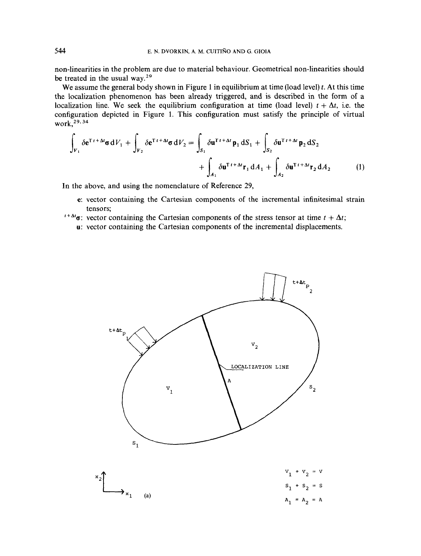non-linearities in the problem are due to material behaviour. Geometrical non-linearities should be treated in the usual way.<sup>29</sup>

We assume the general body shown in Figure 1 in equilibrium at time (load level) *t.* At this time the localization phenomenon has been already triggered, and is described in the form of a localization line. We seek the equilibrium configuration at time (load level)  $t + \Delta t$ , i.e. the configuration depicted in Figure 1. This configuration must satisfy the principle of virtual work,<sup>29,34</sup>

$$
\int_{V_1} \delta e^{T t + \Delta t} \sigma dV_1 + \int_{V_2} \delta e^{T t + \Delta t} \sigma dV_2 = \int_{S_1} \delta u^{T t + \Delta t} \mathbf{p}_1 dS_1 + \int_{S_2} \delta u^{T t + \Delta t} \mathbf{p}_2 dS_2 + \int_{A_1} \delta u^{T t + \Delta t} \mathbf{r}_1 dA_1 + \int_{A_2} \delta u^{T t + \Delta t} \mathbf{r}_2 dA_2 \tag{1}
$$

In the above, and using the nomenclature of Reference 29,

- *e:* vector containing the Cartesian components of the incremental infinitesimal strain tensors;
- $t + \Delta t$ **T**: vector containing the Cartesian components of the stress tensor at time  $t + \Delta t$ ;
	- **u:** vector containing the Cartesian components of the incremental displacements.

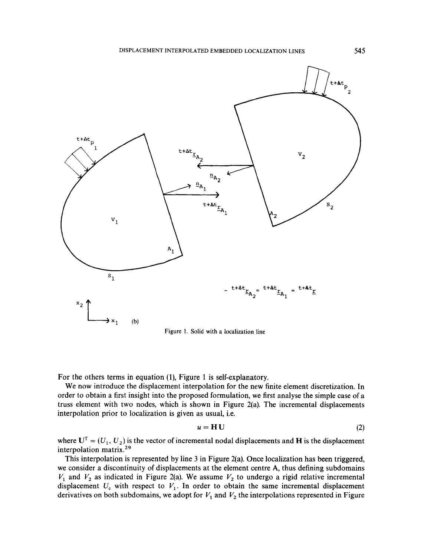



For the others terms in equation (1), Figure 1 is self-explanatory.

We now introduce the displacement interpolation for the new finite element discretization. In order to obtain a first insight into the proposed formulation, we first analyse the simple case of **a**  truss element with two nodes, which is shown in Figure 2(a). The incremental displacements interpolation prior to localization **is** given as usual, i.e.

$$
u = H U \tag{2}
$$

where  $U^T = (U_1, U_2)$  is the vector of incremental nodal displacements and **H** is the displacement interpolation matrix.29

This interpolation is represented by line **3** in Figure 2(a). Once localization has been triggered, we consider a discontinuity of displacements at the element centre **A,** thus defining subdomains  $V_1$  and  $V_2$  as indicated in Figure 2(a). We assume  $V_2$  to undergo a rigid relative incremental displacement  $U_c$  with respect to  $V_1$ . In order to obtain the same incremental displacement derivatives on both subdomains, we adopt for  $V_1$  and  $V_2$  the interpolations represented in Figure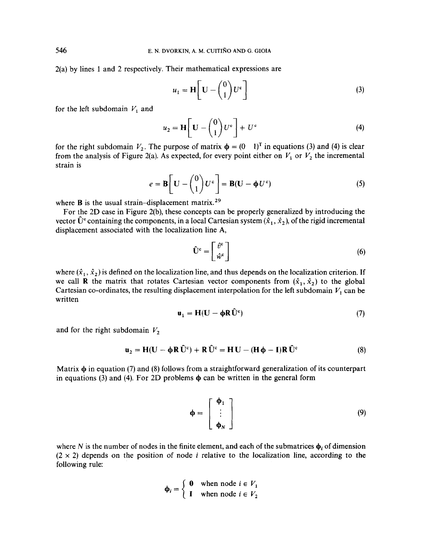2(a) by lines 1 and 2 respectively. Their mathematical expressions are

$$
u_1 = \mathbf{H} \left[ \mathbf{U} - \begin{pmatrix} 0 \\ 1 \end{pmatrix} U^c \right]
$$
 (3)

for the left subdomain  $V_1$  and

$$
u_2 = \mathbf{H} \left[ \mathbf{U} - \begin{pmatrix} 0 \\ 1 \end{pmatrix} U^c \right] + U^c \tag{4}
$$

for the right subdomain  $V_2$ . The purpose of matrix  $\phi = (0 \quad 1)^T$  in equations (3) and (4) is clear from the analysis of Figure 2(a). As expected, for every point either on  $V_1$  or  $V_2$  the incremental strain is

$$
e = \mathbf{B}\left[\mathbf{U} - \begin{pmatrix} 0 \\ 1 \end{pmatrix} U^c\right] = \mathbf{B}(\mathbf{U} - \boldsymbol{\phi} U^c) \tag{5}
$$

where  $\bf{B}$  is the usual strain-displacement matrix.<sup>29</sup>

vector  $\hat{\mathbf{U}}^c$  containing the components, in a local Cartesian system  $(\hat{x}_1, \hat{x}_2)$ , of the rigid incremental displacement associated with the localization line **A,**  For the 2D case in Figure 2(b), these concepts can be properly generalized by introducing the

$$
\hat{\mathbf{U}}^{\mathbf{c}} = \begin{bmatrix} \hat{v}^{\mathbf{c}} \\ \hat{w}^{\mathbf{c}} \end{bmatrix}
$$
 (6)

where  $(\hat{x}_1, \hat{x}_2)$  is defined on the localization line, and thus depends on the localization criterion. If we call **R** the matrix that rotates Cartesian vector components from  $(\hat{x}_1, \hat{x}_2)$  to the global Cartesian co-ordinates, the resulting displacement interpolation for the left subdomain  $V_1$  can be written

$$
\mathbf{u}_1 = \mathbf{H}(\mathbf{U} - \mathbf{\phi} \mathbf{R} \hat{\mathbf{U}}^c)
$$
 (7)

and for the right subdomain  $V_2$ 

$$
\mathbf{u}_2 = \mathbf{H}(\mathbf{U} - \boldsymbol{\phi}\mathbf{R}\,\hat{\mathbf{U}}^c) + \mathbf{R}\,\hat{\mathbf{U}}^c = \mathbf{H}\,\mathbf{U} - (\mathbf{H}\boldsymbol{\phi} - \mathbf{I})\mathbf{R}\,\hat{\mathbf{U}}^c \tag{8}
$$

Matrix  $\phi$  in equation (7) and (8) follows from a straightforward generalization of its counterpart in equations (3) and (4). For 2D problems  $\phi$  can be written in the general form

$$
\Phi = \begin{bmatrix} \Phi_1 \\ \vdots \\ \Phi_N \end{bmatrix} \tag{9}
$$

where *N* is the number of nodes in the finite element, and each of the submatrices  $\phi_i$  of dimension  $(2 \times 2)$  depends on the position of node *i* relative to the localization line, according to the following rule:

$$
\Phi_i = \begin{cases} 0 & \text{when node } i \in V_1 \\ 1 & \text{when node } i \in V_2 \end{cases}
$$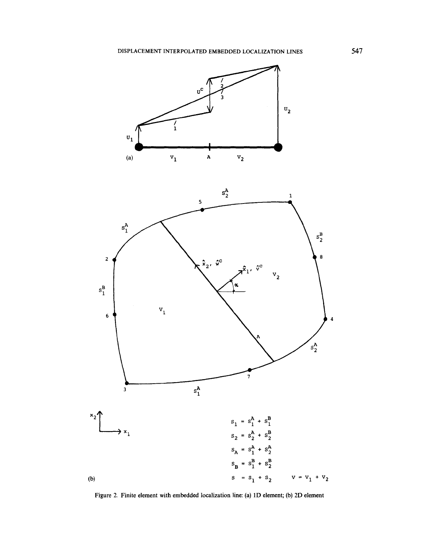

**Figure 2. Finite element with embedded localization line: (a) 1D element; (b) 2D element**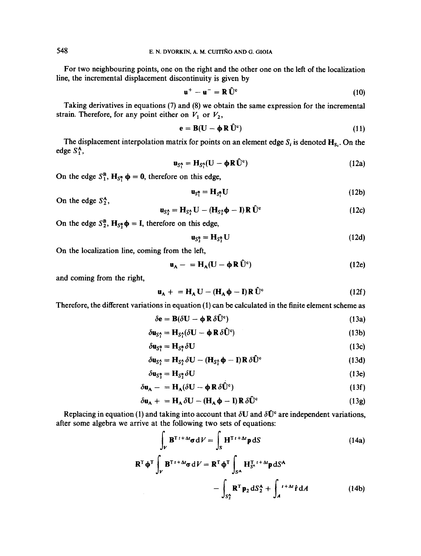For two neighbouring points, one on the right and the other one on the left of the localization line, the incremental displacement discontinuity is given by

$$
\mathbf{u}^+ - \mathbf{u}^- = \mathbf{R} \, \hat{\mathbf{U}}^c
$$
 (10)

Taking derivatives in equations (7) and (8) we obtain the same expression for the incremental strain. Therefore, for any point either on  $V_1$  or  $V_2$ ,<br>  $\mathbf{e} = \mathbf{B}(\mathbf{U} - \mathbf{\phi} \mathbf{R} \hat{\mathbf{U}}^c)$ 

$$
\mathbf{e} = \mathbf{B}(\mathbf{U} - \mathbf{\phi} \mathbf{R} \,\hat{\mathbf{U}}^c) \tag{11}
$$

The displacement interpolation matrix for points on an element edge  $S_i$  is denoted  $H_{S_i}$ . On the edge *Sf,* 

$$
\mathbf{u}_{S_1^A} = \mathbf{H}_{S_1^A} (\mathbf{U} - \boldsymbol{\phi} \mathbf{R} \hat{\mathbf{U}}^c)
$$
 (12a)

On the edge  $S_1^B$ ,  $H_{S_1^B} \phi = 0$ , therefore on this edge,

$$
\mathbf{u}_{S_1^B} = \mathbf{H}_{S_1^B} \mathbf{U} \tag{12b}
$$

On the edge  $S_2^A$ ,

$$
\mathbf{u}_{S_2^{\mathsf{A}}} = \mathbf{H}_{S_2^{\mathsf{A}}} \mathbf{U} - (\mathbf{H}_{S_2^{\mathsf{A}}} \boldsymbol{\phi} - \mathbf{I}) \mathbf{R} \mathbf{\hat{U}}^{\mathsf{c}}
$$
(12c)

On the edge  $S_2^B$ ,  $H_{S_2^B}\phi = I$ , therefore on this edge,

$$
\mathbf{u}_{S_2^B} = \mathbf{H}_{S_2^B} \mathbf{U} \tag{12d}
$$

On the localization line, coming from the left,

$$
\mathbf{u}_{\mathbf{A}} - \mathbf{H}_{\mathbf{A}}(\mathbf{U} - \mathbf{\phi} \mathbf{R} \mathbf{U}^{\mathbf{c}}) \tag{12e}
$$

and coming from the right,

$$
\mathbf{u}_{A} + \ = \mathbf{H}_{A} \mathbf{U} - (\mathbf{H}_{A} \mathbf{\phi} - \mathbf{I}) \mathbf{R} \mathbf{\hat{U}}^{\text{c}}
$$
 (12f)

Therefore, the different variations in equation (1) can be calculated in the finite element scheme as

$$
\delta \mathbf{e} = \mathbf{B} (\delta \mathbf{U} - \mathbf{\phi} \, \mathbf{R} \, \delta \mathbf{\hat{U}}^c) \tag{13a}
$$

$$
\delta \mathbf{u}_{S_1^A} = \mathbf{H}_{S_1^A} (\delta \mathbf{U} - \mathbf{\phi} \, \mathbf{R} \, \delta \mathbf{\hat{U}}^c) \tag{13b}
$$

$$
\delta \mathbf{u}_{S_1^B} = \mathbf{H}_{S_1^B} \, \delta \mathbf{U} \tag{13c}
$$

$$
\delta \mathbf{u}_{S_2^A} = \mathbf{H}_{S_2^A} \delta \mathbf{U} - (\mathbf{H}_{S_2^A} \boldsymbol{\phi} - \mathbf{I}) \mathbf{R} \, \delta \hat{\mathbf{U}}^c \tag{13d}
$$

$$
\delta \mathbf{u}_{S_2^{\mathbf{B}}} = \mathbf{H}_{S_2^{\mathbf{B}}} \delta \mathbf{U} \tag{13e}
$$

$$
\delta \mathbf{u}_{\mathbf{A}} - \mathbf{H}_{\mathbf{A}} (\delta \mathbf{U} - \mathbf{\phi} \, \mathbf{R} \, \delta \hat{\mathbf{U}}^c) \tag{13f}
$$

$$
\delta \mathbf{u}_{A} + \delta \mathbf{U} - (\mathbf{H}_{A} \mathbf{\phi} - \mathbf{I}) \mathbf{R} \delta \hat{\mathbf{U}}^{\text{c}}
$$
(13g)

Replacing in equation (1) and taking into account that  $\delta U$  and  $\delta \hat{U}^c$  are independent variations, after some algebra we arrive at the following two sets of equations:

$$
\int_{V} \mathbf{B}^{T t + \Delta t} \sigma dV = \int_{S} \mathbf{H}^{T t + \Delta t} \mathbf{p} dS
$$
\n(14a)

$$
\mathbf{R}^{\mathrm{T}} \boldsymbol{\phi}^{\mathrm{T}} \int_{V} \mathbf{B}^{\mathrm{T} \, t + \Delta t} \boldsymbol{\sigma} \, dV = \mathbf{R}^{\mathrm{T}} \boldsymbol{\phi}^{\mathrm{T}} \int_{S^{A}} \mathbf{H}_{S^{A}}^{\mathrm{T} \, t + \Delta t} \mathbf{p} \, dS^{A} - \int_{S_{2}^{A}} \mathbf{R}^{\mathrm{T}} \mathbf{p}_{2} \, dS_{2}^{A} + \int_{A}^{t + \Delta t} \hat{\mathbf{r}} \, dA \qquad (14b)
$$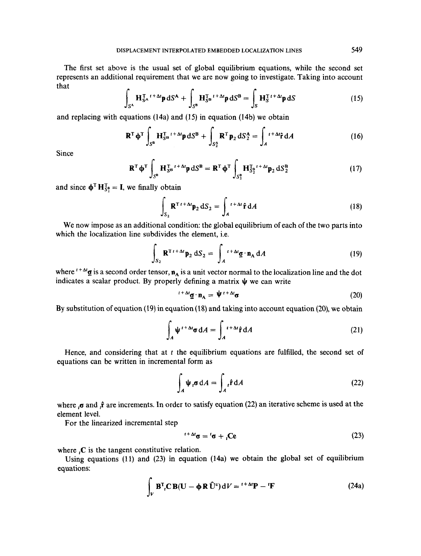The first set above is the usual set of global equilibrium equations, while the second set represents an additional requirement that we are now going to investigate. Taking into account that *r r r r r* 

$$
\int_{S^{\mathbf{A}}} \mathbf{H}_{S^{\mathbf{A}}}^{T} \cdot f^{+} \Delta t \mathbf{p} \, \mathrm{d}S^{\mathbf{A}} + \int_{S^{\mathbf{B}}} \mathbf{H}_{S^{\mathbf{B}}}^{T} \cdot f^{+} \Delta t \mathbf{p} \, \mathrm{d}S^{\mathbf{B}} = \int_{S} \mathbf{H}_{S}^{T} \cdot f^{+} \Delta t \mathbf{p} \, \mathrm{d}S \tag{15}
$$

and replacing with equations (14a) and (15) in equation (14b) we obtain

$$
\mathbf{R}^{\mathrm{T}}\boldsymbol{\phi}^{\mathrm{T}}\int_{S^{\mathrm{B}}} \mathbf{H}_{S^{\mathrm{B}}}^{\mathrm{T}} \, t^{+\Delta t} \mathbf{p} \, \mathrm{d}S^{\mathrm{B}} + \int_{S_{2}^{\mathrm{A}}} \mathbf{R}^{\mathrm{T}} \, \mathbf{p}_{2} \, \mathrm{d}S_{2}^{\mathrm{A}} = \int_{A} t^{+\Delta t} \hat{\mathbf{r}} \, \mathrm{d}A \tag{16}
$$

Since

$$
\mathbf{R}^{\mathrm{T}} \boldsymbol{\phi}^{\mathrm{T}} \int_{S^{\mathrm{B}}} \mathbf{H}_{S^{\mathrm{B}}}^{\mathrm{T}} \iota^{+ \Delta t} \mathbf{p} \, \mathrm{d} S^{\mathrm{B}} = \mathbf{R}^{\mathrm{T}} \boldsymbol{\phi}^{\mathrm{T}} \int_{S^{\mathrm{B}}_{2}} \mathbf{H}_{S^{\mathrm{B}}_{2}}^{\mathrm{T}} \iota^{+ \Delta t} \mathbf{p}_{2} \, \mathrm{d} S^{\mathrm{B}}_{2} \tag{17}
$$

and since  $\mathbf{\phi}^{\mathrm{T}} \mathbf{H}_{S_2^{\mathrm{B}}}^{\mathrm{T}} = \mathbf{I}$ , we finally obtain

$$
\int_{S_2} \mathbf{R}^{T t + \Delta t} \mathbf{p}_2 dS_2 = \int_A t + \Delta t \,\hat{\mathbf{r}} dA \tag{18}
$$

We now impose as an additional condition: the global equilibrium of each of the two parts into which the localization line subdivides the element, i.e.

$$
\int_{S_2} \mathbf{R}^{T t + \Delta t} \mathbf{p}_2 dS_2 = \int_A {}^{t + \Delta t} \mathbf{g} \cdot \mathbf{n}_A dA
$$
\n(19)

where  $t + \Delta t$ g is a second order tensor,  $\mathbf{n}_A$  is a unit vector normal to the localization line and the dot indicates a scalar product. By properly defining a matrix  $\psi$  we can write

$$
t + \Delta t_{\mathbf{Q}} \cdot \mathbf{n}_{\mathbf{A}} = \Psi t + \Delta t_{\mathbf{G}} \tag{20}
$$

By substitution of equation (19) in equation (18) and taking into account equation **(20),** we obtain

$$
\int_{A} \Psi^{t+\Delta t} \sigma \, dA = \int_{A} t^{+\Delta t} \hat{\mathbf{r}} \, dA \tag{21}
$$

Hence, and considering that at  $t$  the equilibrium equations are fulfilled, the second set of equations can be written in incremental form as

$$
\int_{A} \Psi_{i} \sigma \, dA = \int_{A} \hat{r} \, dA \tag{22}
$$

where  $\alpha$  and  $\hat{f}$  are increments. In order to satisfy equation (22) an iterative scheme is used at the element level.

For the linearized incremental step

$$
t^{t+\Delta t}\sigma = {}^{t}\sigma + {}_{t}\mathbf{C}\mathbf{e}
$$
 (23)

where  $\mathcal{C}$  is the tangent constitutive relation.

equations: Using equations (11) and (23) in equation (14a) we obtain the global set of equilibrium

$$
\int_{V} \mathbf{B}^{\mathrm{T}}_{t} \mathbf{C} \mathbf{B} (\mathbf{U} - \boldsymbol{\phi} \mathbf{R} \hat{\mathbf{U}}^{c}) dV = {}^{t + \Delta t} \mathbf{P} - {}^{t} \mathbf{F}
$$
\n(24a)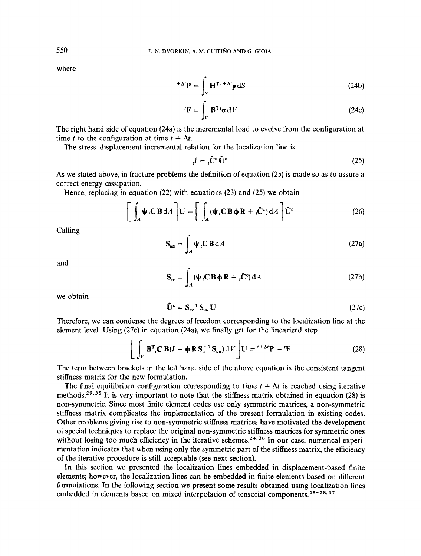where

$$
t + \Delta t \mathbf{P} = \int_{S} \mathbf{H}^{T} t + \Delta t \mathbf{p} \, \mathrm{d}S \tag{24b}
$$

$$
{}^{t}\mathbf{F} = \int_{V} \mathbf{B}^{\mathrm{T} \, t} \sigma \, \mathrm{d}V \tag{24c}
$$

The right hand side of equation (24a) is the incremental load to evolve from the configuration at time *t* to the configuration at time  $t + \Delta t$ .

The stress-displacement incremental relation for the localization line is

$$
\hat{\mathbf{r}} = \hat{\mathbf{c}}^c \, \hat{\mathbf{U}}^c \tag{25}
$$

**As** we stated above, in fracture problems the definition of equation (25) is made so as to assure a correct energy dissipation.

Hence, replacing in equation (22) with equations (23) and (25) we obtain

$$
\left[\int_{A} \Psi_{i} \mathbf{C} \mathbf{B} dA \right] \mathbf{U} = \left[\int_{A} (\Psi_{i} \mathbf{C} \mathbf{B} \boldsymbol{\phi} \mathbf{R} + \,_{i} \hat{\mathbf{C}}^{c}) dA \right] \hat{\mathbf{U}}^{c}
$$
(26)

Calling *<sup>n</sup>*

$$
\mathbf{S}_{uu} = \int_{A} \Psi_{i} \mathbf{C} \, \mathbf{B} \, \mathrm{d}A \tag{27a}
$$

and

$$
\mathbf{S}_{cc} = \int_{A} (\mathbf{\psi}_{t} \mathbf{C} \, \mathbf{B} \, \mathbf{\phi} \, \mathbf{R} + {}_{t} \hat{\mathbf{C}}^{c}) \, \mathrm{d}A \tag{27b}
$$

we obtain

$$
\hat{\mathbf{U}}^{\mathbf{c}} = \mathbf{S}_{cc}^{-1} \mathbf{S}_{uu} \mathbf{U}
$$
 (27c)

Therefore, we can condense the degrees of freedom corresponding to the localization line at the element level. Using (27c) in equation (24a), we finally get for the linearized step

$$
\left[\int_{V} \mathbf{B}^{\mathrm{T}}_{t} \mathbf{C} \, \mathbf{B} (I - \boldsymbol{\phi} \, \mathbf{R} \, \mathbf{S}_{cc}^{-1} \, \mathbf{S}_{uu}) \, \mathrm{d} \, V \right] \mathbf{U} = {}^{t + \Delta t} \mathbf{P} - {}^{t} \mathbf{F}
$$
\n(28)

The term between brackets in the left hand side of the above equation is the consistent tangent stiffness matrix for the new formulation.

The final equilibrium configuration corresponding to time  $t + \Delta t$  is reached using iterative methods.<sup>29,35</sup> It is very important to note that the stiffness matrix obtained in equation (28) is non-symmetric. Since most finite element codes use only symmetric matrices, a non-symmetric stiffness matrix complicates the implementation of the present formulation in existing codes. Other problems giving rise to non-symmetric stiffness matrices have motivated the development of special techniques to replace the original non-symmetric stiffness matrices for symmetric ones without losing too much efficiency in the iterative schemes.<sup>24,36</sup> In our case, numerical experimentation indicates that when using only the symmetric part of the stiffness matrix, the efficiency of the iterative procedure is still acceptable (see next section).

In this section we presented the localization lines embedded in displacement-based finite elements; however, the localization lines can be embedded in finite elements based on different formulations. In the following section we present some results obtained using localization lines embedded in elements based on mixed interpolation of tensorial components.<sup>25-28,37</sup>

5 *50*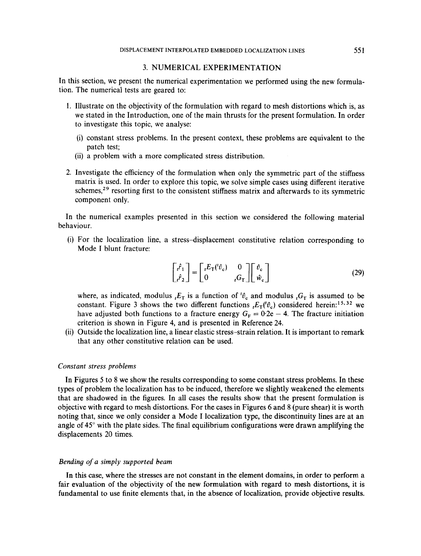### **3.** NUMERICAL EXPERIMENTATION

In this section, we present the numerical experimentation we performed using the new formulation. The numerical tests are geared to:

- 1. Illustrate on the objectivity of the formulation with regard to mesh distortions which is, as we stated in the Introduction, one of the main thrusts for the present formulation. In order to investigate this topic, we analyse:
	- (i) constant stress problems. In the present context, these problems are equivalent to the patch test;
	- (ii) a problem with a more complicated stress distribution.
- 2. Investigate the efficiency of the formulation when only the symmetric part of the stiffness matrix is used. In order to explore this topic, we solve simple cases using different iterative schemes,<sup>29</sup> resorting first to the consistent stiffness matrix and afterwards to its symmetric component only.

In the numerical examples presented in this section we considered the following material behaviour.

(i) For the localization line, a stress-displacement constitutive relation corresponding to Mode I blunt fracture:

$$
\begin{bmatrix} i^{\hat{r}}_1 \\ i^{\hat{r}}_2 \end{bmatrix} = \begin{bmatrix} {}_{\mathbf{r}} E_{\mathbf{T}}({}^t \hat{v}_c) & 0 \\ 0 & {}_{\mathbf{r}} G_{\mathbf{T}} \end{bmatrix} \begin{bmatrix} \hat{v}_c \\ \hat{w}_c \end{bmatrix}
$$
(29)

where, as indicated, modulus  ${}_{t}E_{T}$  is a function of  ${}^{t}\hat{v}_{c}$  and modulus  ${}_{t}G_{T}$  is assumed to be constant. Figure 3 shows the two different functions  ${}_{t}E_{T}(t\hat{v}_{c})$  considered herein:<sup>15,32</sup> we have adjusted both functions to a fracture energy  $G_{F} = 0.2e - 4$ . The fracture initiation criterion is shown in Figure **4,** and is presented in Reference 24.

(ii) Outside the localization line, a linear elastic stress-strain relation. It is important to remark that any other constitutive relation can be used.

### *Constant stress problems*

In Figures 5 to **8** we show the results corresponding to some constant stress problems. In these types of problem the localization has to be induced, therefore we slightly weakened the elements that are shadowed in the figures. In all cases the results show that the present formulation is objective with regard to mesh distortions. For the cases in Figures *6* and **8** (pure shear) it is worth noting that, since we only consider a Mode **I** localization type, the discontinuity lines are at an angle of  $45^{\circ}$  with the plate sides. The final equilibrium configurations were drawn amplifying the displacements 20 times.

#### *Bending of a simply supported beam*

In this case, where the stresses are not constant in the element domains, in order to perform a fair evaluation of the objectivity of the new formulation with regard to mesh distortions, it is fundamental to use finite elements that, in the absence of localization, provide objective results.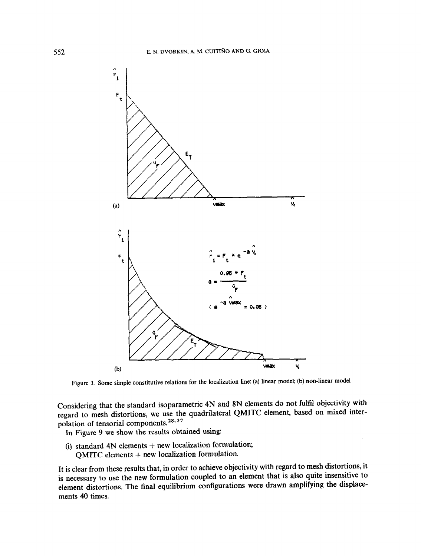

**Figure 3. Some simple constitutive relations for the localization line: (a) linear model; (b) non-linear model** 

Considering that the standard isoparametric 4N and 8N elements do not fulfil objectivity with regard to mesh distortions, we use the quadrilateral QMITC element, based on mixed interpolation of tensorial components.<sup>28,37</sup>

In Figure 9 we show the results obtained using:

(i) standard 4N elements + new localization formulation; QMITC elements + new localization formulation.

It is clear from these results that, in order to achieve objectivity with regard to mesh distortions, it is necessary to use the new formulation coupled to an element that is also quite insensitive to element distortions. The final equilibrium configurations were drawn amplifying the displacements **40** times.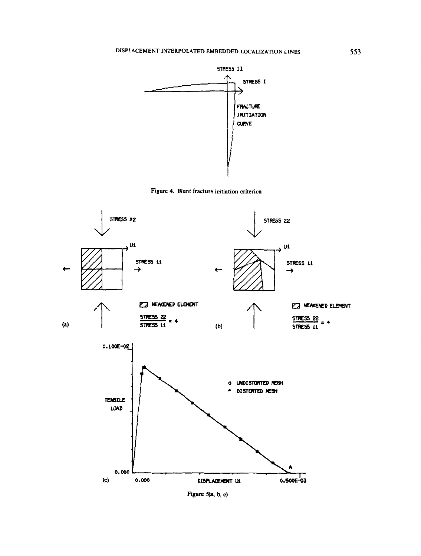

Figure 4. Blunt fracture initiation criterion



Figure 5(a, b, c)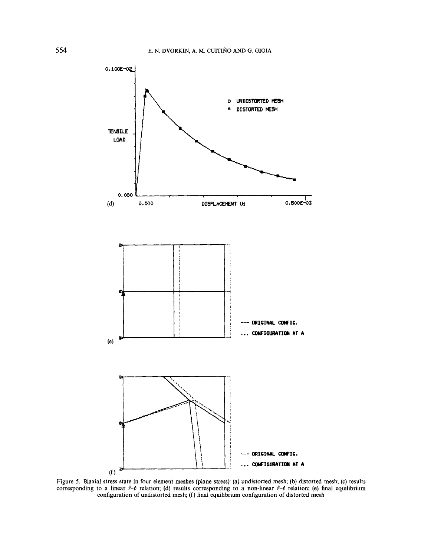

Figure 5. Biaxial stress state in four element meshes (plane stress): (a) undistorted mesh; (b) distorted mesh; (c) results corresponding to a linear  $\hat{r}-\hat{\theta}$  relation; (d) results corresponding to a non-linear  $\hat{r}-\hat{\theta}$  relation; (e) final equilibrium configuration of undistorted mesh; (f) final equilibrium configuration of distorted m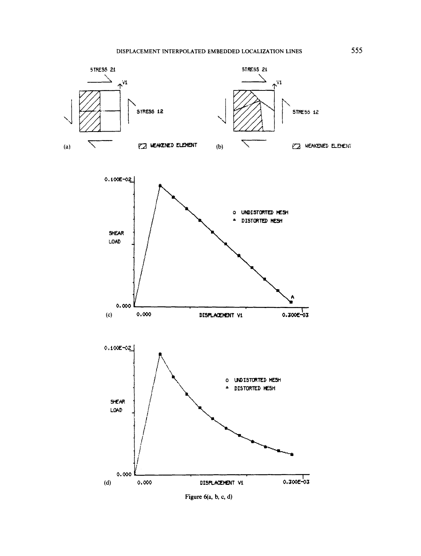

Figure 6(a, b, c, d)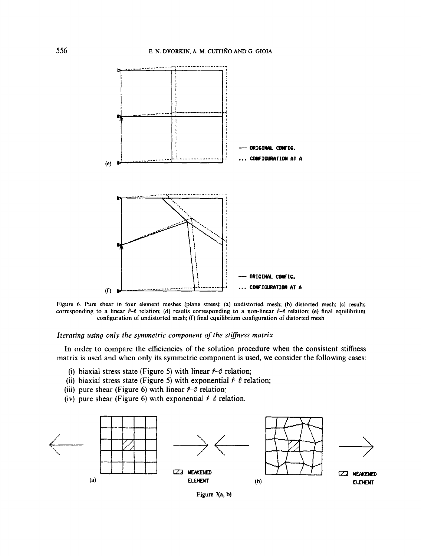

**Figure 6. Pure shear in four element meshes (plane stress): (a) undistorted mesh; (b) distorted mesh; (c) results**  corresponding to a linear  $\hat{r}-\hat{v}$  relation; (d) results corresponding to a non-linear  $\hat{r}-\hat{v}$  relation; (e) final equilibrium **configuration of undistorted mesh; (f) final equilibrium configuration of distorted mesh** 

*Iterating using only the symmetric component* of *the stiffness matrix* 

In order to compare the efficiencies of the solution procedure when the consistent stiffness matrix is used and when only its symmetric component is used, we consider the following cases:

- (i) biaxial stress state (Figure 5) with linear  $\hat{r}-\hat{v}$  relation;
- (ii) biaxial stress state (Figure 5) with exponential  $f \theta$  relation;
- (iii) pure shear (Figure 6) with linear  $\hat{r}-\hat{v}$  relation:
- (iv) pure shear (Figure 6) with exponential  $\hat{r}-\hat{v}$  relation.



**Figure 7(a, b)**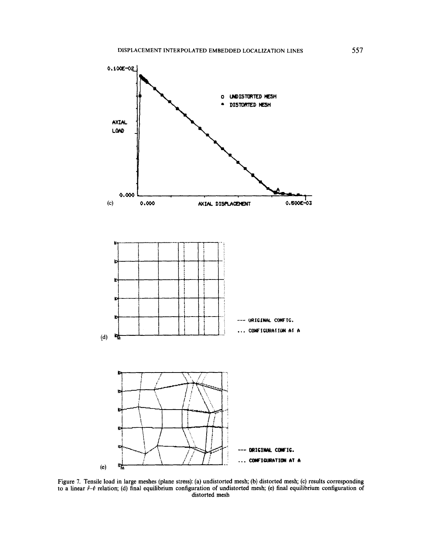

Figure 7. Tensile load in large meshes (plane stress): (a) undistorted mesh; (b) distorted mesh; (c) results corresponding to a linear  $\hat{r}-\hat{v}$  relation; (d) final equilibrium configuration of undistorted mesh; (e) fi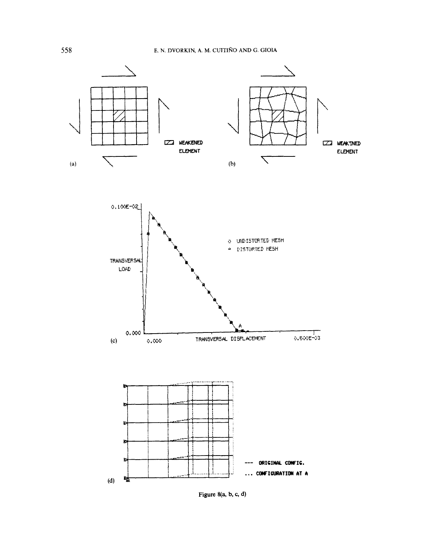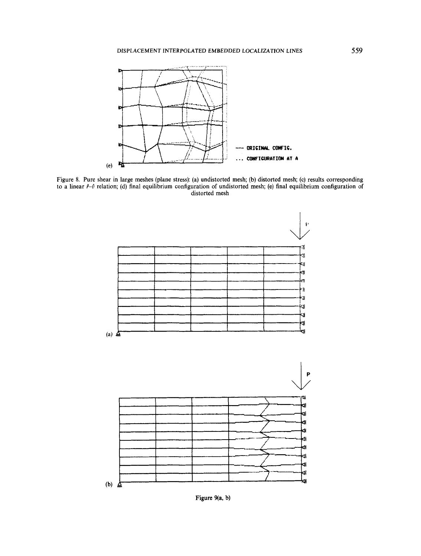

**Figure 8. Pure shear in large meshes (plane stress): (a) undistorted mesh; (b) distorted mesh; (c) results corresponding to a linear** *P-G* **relation; (d) final equilibrium configuration of undistorted mesh; (e) final equilibrium configuration of distorted mesh** 



**Figure 9(a, b)**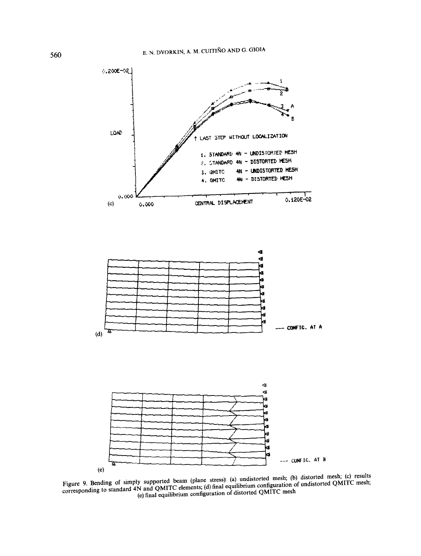

Figure 9. Bending of simply supported beam (plane stress): (a) undistorted mesh; (b) distorted mesh; (c) results corresponding to standard 4N and QMITC elements; (d) final equilibrium configuration of undistorted QMITC mes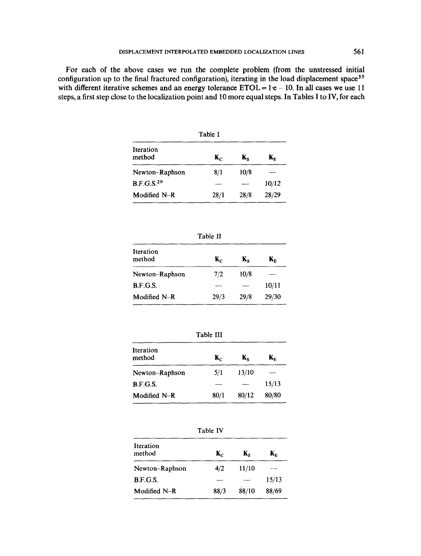For each of the above cases we run the complete problem (from the unstressed initial configuration up to the final fractured configuration), iterating in the load displacement space<sup>35</sup> with different iterative schemes and an energy tolerance  $ETOL = 1$  e - 10. In all cases we use 11 steps, a first step close to the localization point and 10 more equal steps. In Tables I to IV, for each

| таріст                 |       |      |                           |
|------------------------|-------|------|---------------------------|
| Iteration<br>method    | $K_c$ | K,   | $\mathbf{K}_{\mathbf{F}}$ |
| Newton-Raphson         | 8/1   | 10/8 |                           |
| B.F.G.S. <sup>29</sup> |       |      | 10/12                     |
| Modified N-R           | 28/1  | 28/8 | 28/29                     |

Table I

| Ы<br>,,,<br>m |  |
|---------------|--|
|---------------|--|

| Iteration<br>method | $\mathbf{K}_c$ | Ke   | $K_{\rm E}$ |
|---------------------|----------------|------|-------------|
| Newton-Raphson      | 7/2            | 10/8 |             |
| <b>B.F.G.S.</b>     |                |      | 10/11       |
| Modified N-R        | 29/3           | 29/8 | 29/30       |

| a<br>۱<br>я |  |
|-------------|--|
|             |  |

| Iteration<br>method | $K_{\rm c}$ | $K_{S}$ | K.    |
|---------------------|-------------|---------|-------|
| Newton-Raphson      | 5/1         | 13/10   |       |
| <b>B.F.G.S.</b>     |             |         | 15/13 |
| Modified N-R        | 80/1        | 80/12   | 80/80 |

| Iteration<br>method | $K_c$ | $K_{\rm c}$ | ${\bf K}_{\bf F}$ |
|---------------------|-------|-------------|-------------------|
| Newton-Raphson      | 4/2   | 11/10       |                   |
| B.F.G.S.            |       |             | 15/13             |
| Modified N-R        | 88/3  | 88/10       | 88/69             |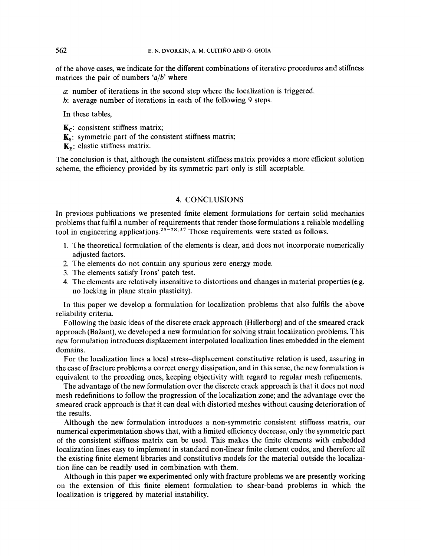of the above cases, we indicate for the different combinations of iterative procedures and stiffness matrices the pair of numbers *'a/b'* where

- *a:* number of iterations in the second step where the localization is triggered.
- *b:* average number of iterations in each of the following 9 steps.

In these tables,

**K<sub>c</sub>**: consistent stiffness matrix;

**K<sub>s</sub>**: symmetric part of the consistent stiffness matrix;

**K,:** elastic stiffness matrix.

The conclusion is that, although the consistent stiffness matrix provides a more efficient solution scheme, the efficiency provided by its symmetric part only is still acceptable.

# **4.** CONCLUSIONS

In previous publications we presented finite element formulations for certain solid mechanics problems that fulfil a number of requirements that render those formulations a reliable modelling tool in engineering applications.<sup>25-28,37</sup> Those requirements were stated as follows.

- 1. The theoretical formulation of the elements is clear, and does not incorporate numerically adjusted factors.
- 2. The elements do not contain any spurious zero energy mode.
- **3.** The elements satisfy Irons' patch test.
- **4.** The elements are relatively insensitive to distortions and changes in material properties (e.g. no locking in plane strain plasticity).

In this paper we develop a formulation for localization problems that also fulfils the above reliability criteria.

Following the basic ideas of the discrete crack approach (Hillerborg) and of the smeared crack approach (Bažant), we developed a new formulation for solving strain localization problems. This new formulation introduces displacement interpolated localization lines embedded in the element domains.

For the localization lines a local stress-displacement constitutive relation is used, assuring in the case of fracture problems a correct energy dissipation, and in this sense, the new formulation is equivalent to the preceding ones, keeping objectivity with regard to regular mesh refinements.

The advantage of the new formulation over the discrete crack approach is that it does not need mesh redefinitions to follow the progression of the localization zone; and the advantage over the smeared crack approach is that it can deal with distorted meshes without causing deterioration of the results.

Although the new formulation introduces a non-symmetric consistent stiffness matrix, our numerical experimentation shows that, with a limited efficiency decrease, only the symmetric part of the consistent stiffness matrix can be used. This makes the finite elements with embedded localization lines easy to implement in standard non-linear finite element codes, and therefore all the existing finite element libraries and constitutive models for the material outside the localization line can be readily used in combination with them.

Although in this paper we experimented only with fracture problems we are presently working on the extension of this finite element formulation to shear-band problems in which the localization is triggered by material instability.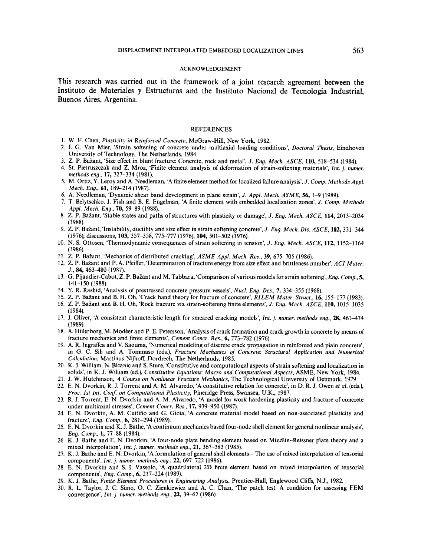#### **ACKNOWLEDGEMENT**

**This research was carried out in the framework of a joint research agreement between the Instituto de Materiales y Estructuras and the Instituto Nacional de Tecnologia Industrial, Buenos Aires, Argentina.** 

#### REFERENCES

- 1. W. F. Chen, *Plasticity in Reinforced Concrete,* McGraw-Hill, New York, **1982,**
- **2.** J. **G.** Van Mier, 'Strain softening of concrete under multiaxial loading conditions', *Doctoral Thesis,* Eindhoven University of Technology, The Netherlands, **1984.**
- **3.** Z. P. Baiant, 'Size effect in blunt fracture: Concrete, rock and metal', *J. Eng. Mech. ASCE,* **110, 518-534 (1984).**
- **4.** St. Pietruszczak and *Z.* Mroz, 'Finite element analysis of deformation of strain-softening materials', *Int.* j. *numer. methods eng.,* **17, 327-334 (1981).**
- *5.* M. Ortiz, **Y.** Leroy and A. Needleman, 'A finite element method for localized failure analysis', *J. Comp. Methods Appl. Mech. Eng.,* **61, 189-214 (1987).**
- **6.** A. Needleman, 'Dynamic shear band development in plane strain', *J. Appl. Mech. ASME, 56,* **1-9 (1989).**
- **7.** T. Belytschko, **J.** Fish and B. E. Engelman, 'A finite element with embedded localization zones', *J. Comp. Methods Appl. Mech. Eng.,* **70, 59-89 (1988).**
- **8.** *Z.* P. Baiant, 'Stable states and paths of structures with plasticity or damage', J. *Eng. Mech. ASCE,* **114, 2013-2034 (1988).**
- **9. Z.** P. Baiant, 'Instability, ductility and size effect in strain softening concrete', *J. Eng. Mech. Din ASCE,* **102, 331-344 (1976);** discussions, **103, 357-358, 775-777 (1976); 104, 501-502 (1976).**
- **10.** N. **S.** Ottosen, 'Thermodynamic consequences of strain softening in tension', *J. Eng. Mech. ASCE,* **112, 1152-1164 (1986).**
- 11. Z. P. Bažant, 'Mechanics of distributed cracking', *ASME Appl. Mech. Rev.*, 39, 675-705 (1986).
- **12.** Z. P. Baiant and P. A. Pfeiffer, 'Determination of fracture energy from size effect and brittleness number', *ACI Mater. J.*, **84,** 463-480 (1987).
- **13.** *G.* Pijaudier-Cabot, **Z.** P. Baiant and M. Tabbara, 'Comparison of various models for strain softening', *Eng. Comp., 5,*  **141-150 (1988).**
- **14. Y.** R. Rashid, 'Analysis of prestressed concrete pressure vessels', *Nucl. Eng. Des.,* **7, 334-355 (1968).**
- 15. Z. P. Baiant and B. H. Oh, 'Crack band theory for fracture of concrete', *RILEM Mater. Struct.,* **16, 155-177 (1983).**
- **16. Z.** P. Baiant and **B.** H. Oh, 'Rock fracture via strain-softening finite elements', *J. Eng. Mech. ASCE,* **110, 1015-1035 (1984).**
- 17. **J.** Oliver, 'A consistent characteristic length for smeared cracking models', *Int. i. numer. methods eng.*, **28,** 461-474 **(1989).**
- 18. A. Hillerborg, M. Modéer and P. E. Petersson, 'Analysis of crack formation and crack growth in concrete by means of fracture mechanics and finite elements', *Cement Concr. Res.,* **6, 773-782 (1976).**
- **19.** A. **R.** Ingraffea and **V.** Saouma, 'Numerical modeling of discrete crack propagation in reinforced and plain concrete', in **G.** C. Sih and A. Tommaso (eds.), *Fracture Mechanics of Concrete: Structural Application and Numerical Calculation,* Martinus Nijhoff, Dordrech, The Netherlands, **1985.**
- **20.** K. **J.** William, N. Bicanic and **S.** Sture, 'Constitutive and computational aspects of strain softening and localization in solids', in K. J. William (ed.), *Constitutive Equations: Macro and Computational Aspects,* ASME, New York, **1984.**
- **21.** J. W. Hutchinson, *A Course on Nonlinear Fracture Mechanics,* The Technological University of Denmark, **1979.**
- **22.** E. N. Dvorkin, R. J. Torrent and A. M. Alvaredo, 'A constitutive relation for concrete', in D. R. J. Owen *et al.* (eds.), *Proc. lsr Int. Con\$ on Computational Plasticity,* Pineridge Press, Swansea, U.K., **1987.**
- **23.** R. **J.** Torrent, **E.** N. Dvorkin and A. M. Alvaredo, **'A** model for work hardening plasticity and fracture of concrete under multiaxial stresses', *Cement Concr. Res.,* **17, 939-950 (1987).**
- **24.** E. N. Dvorkin, A. M. Cuitiiio and G. Gioia, 'A concrete material model based on non-associated plasticity and fracture', *Eng. Comp.,* **6, 281-294 (1989).**
- **25.** E. N. Dvorkin and K. J. Bathe, 'A continuum mechanics based four-node shell element for general nonlinear analysis', *Eng. Comp.,* **1, 77-88 (1984).**
- **26.** K. J. Bathe and E. N. Dvorkin, 'A four-node plate bending element based on Mindlin-Reissner plate theory and a mixed interpolation', *Int. j. numer. methods eng.,* **21, 367-383 (1985).**
- 27. K. J. Bathe and E. N. Dvorkin, 'A formulation of general shell elements—The use of mixed interpolation of tensorial components', *Int. j. numer. methods eng.,* **22, 697-722 (1986).**
- **28.** E. N. Dvorkin and **S.** I. **Vassolo,** 'A quadrilateral 2D finite element based on mixed interpolation of tensorial components', *Eng. Comp.,* **6, 217-224 (1989).**
- **29.** K. J. Bathe, *Finite Element Procedures in Engineering Analysis,* Prentice-Hall, Englewood Cliffs, N.J:, **1982.**
- **30.** R. L. Taylor, J. C. Simo, 0. C. Zienkiewicz and A. C. Chan, 'The patch test. A condition for assessing FEM convergence', *Int. j. numer. methods eng.*, **22,** 39–62 (1986).